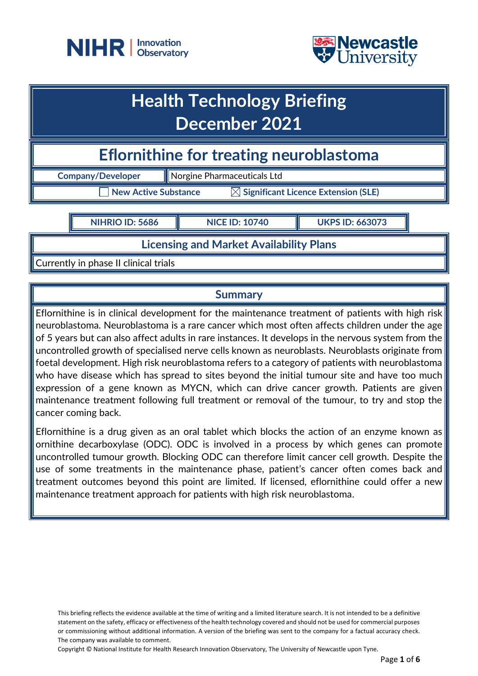



## **Health Technology Briefing December 2021**

**Eflornithine for treating neuroblastoma** 

**Company/Developer Norgine Pharmaceuticals Ltd** 

 $\Box$  New Active Substance  $\qquad \boxtimes$  Significant Licence Extension (SLE)

**NIHRIO ID: 5686 NICE ID: 10740 UKPS ID: 663073**

**Licensing and Market Availability Plans**

Currently in phase II clinical trials

## **Summary**

Eflornithine is in clinical development for the maintenance treatment of patients with high risk neuroblastoma. Neuroblastoma is a rare cancer which most often affects children under the age of 5 years but can also affect adults in rare instances. It develops in the nervous system from the uncontrolled growth of specialised nerve cells known as neuroblasts. Neuroblasts originate from foetal development. High risk neuroblastoma refers to a category of patients with neuroblastoma who have disease which has spread to sites beyond the initial tumour site and have too much expression of a gene known as MYCN, which can drive cancer growth. Patients are given maintenance treatment following full treatment or removal of the tumour, to try and stop the cancer coming back.

Eflornithine is a drug given as an oral tablet which blocks the action of an enzyme known as ornithine decarboxylase (ODC). ODC is involved in a process by which genes can promote uncontrolled tumour growth. Blocking ODC can therefore limit cancer cell growth. Despite the use of some treatments in the maintenance phase, patient's cancer often comes back and treatment outcomes beyond this point are limited. If licensed, eflornithine could offer a new maintenance treatment approach for patients with high risk neuroblastoma.

This briefing reflects the evidence available at the time of writing and a limited literature search. It is not intended to be a definitive statement on the safety, efficacy or effectiveness of the health technology covered and should not be used for commercial purposes or commissioning without additional information. A version of the briefing was sent to the company for a factual accuracy check. The company was available to comment.

Copyright © National Institute for Health Research Innovation Observatory, The University of Newcastle upon Tyne.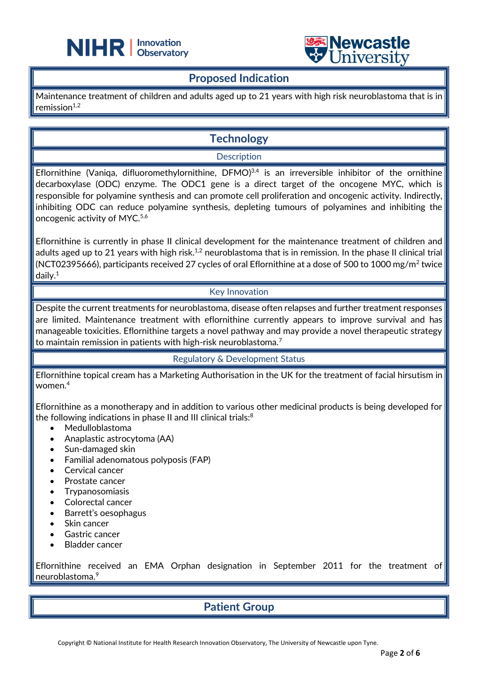



## **Proposed Indication**

֦

Maintenance treatment of children and adults aged up to 21 years with high risk neuroblastoma that is in remission $1,2$ 

## **Technology**

#### **Description**

Eflornithine (Vaniqa, difluoromethylornithine, DFMO)<sup>3,4</sup> is an irreversible inhibitor of the ornithine decarboxylase (ODC) enzyme. The ODC1 gene is a direct target of the oncogene MYC, which is responsible for polyamine synthesis and can promote cell proliferation and oncogenic activity. Indirectly, inhibiting ODC can reduce polyamine synthesis, depleting tumours of polyamines and inhibiting the oncogenic activity of MYC.<sup>5,6</sup>

Eflornithine is currently in phase II clinical development for the maintenance treatment of children and adults aged up to 21 years with high risk.<sup>1,2</sup> neuroblastoma that is in remission. In the phase II clinical trial (NCT02395666), participants received 27 cycles of oral Eflornithine at a dose of 500 to 1000 mg/m<sup>2</sup> twice daily. 1

#### Key Innovation

Despite the current treatments for neuroblastoma, disease often relapses and further treatment responses are limited. Maintenance treatment with eflornithine currently appears to improve survival and has manageable toxicities. Eflornithine targets a novel pathway and may provide a novel therapeutic strategy to maintain remission in patients with high-risk neuroblastoma.<sup>7</sup>

#### Regulatory & Development Status

Eflornithine topical cream has a Marketing Authorisation in the UK for the treatment of facial hirsutism in women.<sup>4</sup>

Eflornithine as a monotherapy and in addition to various other medicinal products is being developed for the following indications in phase II and III clinical trials:<sup>8</sup>

- Medulloblastoma
- Anaplastic astrocytoma (AA)
- Sun-damaged skin
- Familial adenomatous polyposis (FAP)
- Cervical cancer
- Prostate cancer
- **Trypanosomiasis**
- Colorectal cancer
- Barrett's oesophagus
- Skin cancer
- Gastric cancer
- Bladder cancer

Eflornithine received an EMA Orphan designation in September 2011 for the treatment of neuroblastoma.<sup>9</sup>

## **Patient Group**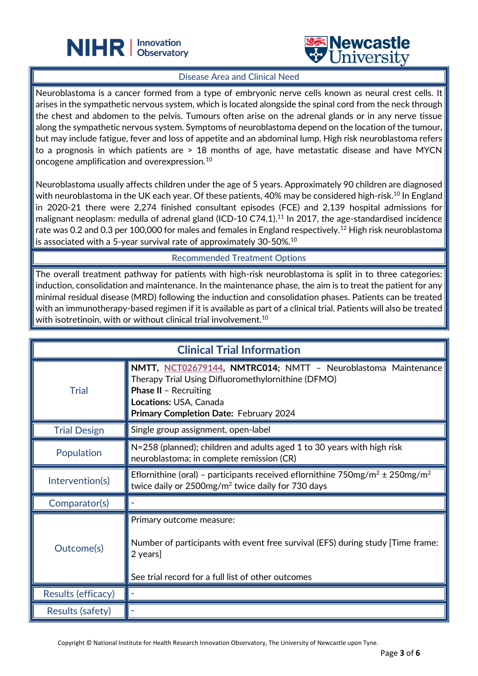



#### Disease Area and Clinical Need

֦

Neuroblastoma is a cancer formed from a type of embryonic nerve cells known as neural crest cells. It arises in the sympathetic nervous system, which is located alongside the spinal cord from the neck through the chest and abdomen to the pelvis. Tumours often arise on the adrenal glands or in any nerve tissue along the sympathetic nervous system. Symptoms of neuroblastoma depend on the location of the tumour, but may include fatigue, fever and loss of appetite and an abdominal lump. High risk neuroblastoma refers to a prognosis in which patients are > 18 months of age, have metastatic disease and have MYCN oncogene amplification and overexpression.<sup>10</sup>

Neuroblastoma usually affects children under the age of 5 years. Approximately 90 children are diagnosed with neuroblastoma in the UK each year. Of these patients, 40% may be considered high-risk.<sup>10</sup> In England in 2020-21 there were 2,274 finished consultant episodes (FCE) and 2,139 hospital admissions for malignant neoplasm: medulla of adrenal gland (ICD-10 C74.1).<sup>11</sup> In 2017, the age-standardised incidence rate was 0.2 and 0.3 per 100,000 for males and females in England respectively.<sup>12</sup> High risk neuroblastoma is associated with a 5-year survival rate of approximately 30-50%.<sup>10</sup>

#### Recommended Treatment Options

The overall treatment pathway for patients with high-risk neuroblastoma is split in to three categories: induction, consolidation and maintenance. In the maintenance phase, the aim is to treat the patient for any minimal residual disease (MRD) following the induction and consolidation phases. Patients can be treated with an immunotherapy-based regimen if it is available as part of a clinical trial. Patients will also be treated with isotretinoin, with or without clinical trial involvement.<sup>10</sup>

| <b>Clinical Trial Information</b> |                                                                                                                                                                                                                         |  |
|-----------------------------------|-------------------------------------------------------------------------------------------------------------------------------------------------------------------------------------------------------------------------|--|
| <b>Trial</b>                      | NMTT, NCT02679144, NMTRC014; NMTT - Neuroblastoma Maintenance<br>Therapy Trial Using Difluoromethylornithine (DFMO)<br><b>Phase II - Recruiting</b><br>Locations: USA, Canada<br>Primary Completion Date: February 2024 |  |
| <b>Trial Design</b>               | Single group assignment, open-label                                                                                                                                                                                     |  |
| Population                        | N=258 (planned); children and adults aged 1 to 30 years with high risk<br>neuroblastoma; in complete remission (CR)                                                                                                     |  |
| Intervention(s)                   | Eflornithine (oral) - participants received eflornithine $750mg/m^2 \pm 250mg/m^2$<br>twice daily or 2500mg/m <sup>2</sup> twice daily for 730 days                                                                     |  |
| Comparator(s)                     |                                                                                                                                                                                                                         |  |
| Outcome(s)                        | Primary outcome measure:<br>Number of participants with event free survival (EFS) during study [Time frame:<br>2 years]<br>See trial record for a full list of other outcomes                                           |  |
| Results (efficacy)                |                                                                                                                                                                                                                         |  |
| Results (safety)                  |                                                                                                                                                                                                                         |  |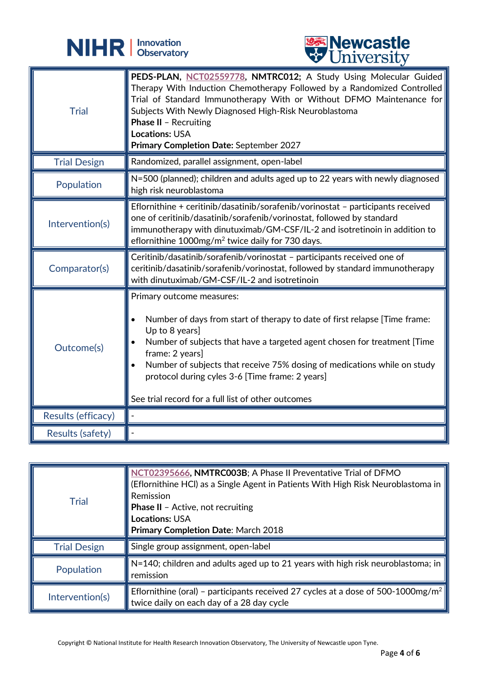



|                         | <b>CITTACTOTO</b>                                                                                                                                                                                                                                                                                                                                                                                                                       |
|-------------------------|-----------------------------------------------------------------------------------------------------------------------------------------------------------------------------------------------------------------------------------------------------------------------------------------------------------------------------------------------------------------------------------------------------------------------------------------|
| <b>Trial</b>            | PEDS-PLAN, NCT02559778, NMTRC012; A Study Using Molecular Guided<br>Therapy With Induction Chemotherapy Followed by a Randomized Controlled<br>Trial of Standard Immunotherapy With or Without DFMO Maintenance for<br>Subjects With Newly Diagnosed High-Risk Neuroblastoma<br><b>Phase II - Recruiting</b><br><b>Locations: USA</b><br>Primary Completion Date: September 2027                                                        |
| <b>Trial Design</b>     | Randomized, parallel assignment, open-label                                                                                                                                                                                                                                                                                                                                                                                             |
| Population              | N=500 (planned); children and adults aged up to 22 years with newly diagnosed<br>high risk neuroblastoma                                                                                                                                                                                                                                                                                                                                |
| Intervention(s)         | Eflornithine + ceritinib/dasatinib/sorafenib/vorinostat - participants received<br>one of ceritinib/dasatinib/sorafenib/vorinostat, followed by standard<br>immunotherapy with dinutuximab/GM-CSF/IL-2 and isotretinoin in addition to<br>eflornithine $1000$ mg/m <sup>2</sup> twice daily for 730 days.                                                                                                                               |
| Comparator(s)           | Ceritinib/dasatinib/sorafenib/vorinostat - participants received one of<br>ceritinib/dasatinib/sorafenib/vorinostat, followed by standard immunotherapy<br>with dinutuximab/GM-CSF/IL-2 and isotretinoin                                                                                                                                                                                                                                |
| Outcome(s)              | Primary outcome measures:<br>Number of days from start of therapy to date of first relapse [Time frame:<br>$\bullet$<br>Up to 8 years]<br>Number of subjects that have a targeted agent chosen for treatment [Time<br>frame: 2 years]<br>Number of subjects that receive 75% dosing of medications while on study<br>$\bullet$<br>protocol during cyles 3-6 [Time frame: 2 years]<br>See trial record for a full list of other outcomes |
| Results (efficacy)      |                                                                                                                                                                                                                                                                                                                                                                                                                                         |
| <b>Results (safety)</b> |                                                                                                                                                                                                                                                                                                                                                                                                                                         |

| <b>Trial</b>        | NCT02395666, NMTRC003B; A Phase II Preventative Trial of DFMO<br>(Eflornithine HCl) as a Single Agent in Patients With High Risk Neuroblastoma in<br>Remission<br><b>Phase II</b> - Active, not recruiting<br><b>Locations: USA</b><br><b>Primary Completion Date: March 2018</b> |
|---------------------|-----------------------------------------------------------------------------------------------------------------------------------------------------------------------------------------------------------------------------------------------------------------------------------|
| <b>Trial Design</b> | Single group assignment, open-label                                                                                                                                                                                                                                               |
| Population          | N=140; children and adults aged up to 21 years with high risk neuroblastoma; in<br>remission                                                                                                                                                                                      |
| Intervention(s)     | Eflornithine (oral) - participants received 27 cycles at a dose of 500-1000mg/m <sup>2</sup><br>twice daily on each day of a 28 day cycle                                                                                                                                         |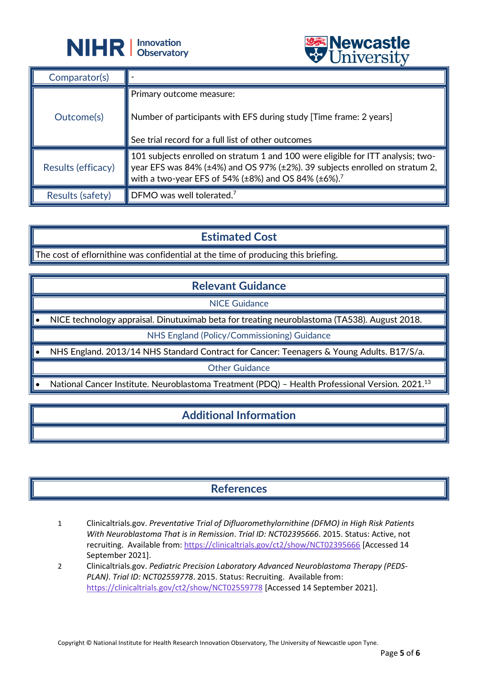



| Comparator(s)      |                                                                                                                                                                                                                                   |
|--------------------|-----------------------------------------------------------------------------------------------------------------------------------------------------------------------------------------------------------------------------------|
| Outcome(s)         | Primary outcome measure:<br>Number of participants with EFS during study [Time frame: 2 years]<br>See trial record for a full list of other outcomes                                                                              |
| Results (efficacy) | 101 subjects enrolled on stratum 1 and 100 were eligible for ITT analysis; two-<br>year EFS was 84% (±4%) and OS 97% (±2%). 39 subjects enrolled on stratum 2,<br>with a two-year EFS of 54% (±8%) and OS 84% (±6%). <sup>7</sup> |
| Results (safety)   | DFMO was well tolerated. <sup>7</sup>                                                                                                                                                                                             |

## **Estimated Cost**

The cost of eflornithine was confidential at the time of producing this briefing.

֦

## **Relevant Guidance**

NICE Guidance

• NICE technology appraisal. Dinutuximab beta for treating neuroblastoma (TA538). August 2018.

NHS England (Policy/Commissioning) Guidance

• NHS England. 2013/14 NHS Standard Contract for Cancer: Teenagers & Young Adults. B17/S/a.

Other Guidance

• National Cancer Institute. Neuroblastoma Treatment (PDQ) – Health Professional Version. 2021.<sup>13</sup>

## **Additional Information**

## **References**

- 1 Clinicaltrials.gov. *Preventative Trial of Difluoromethylornithine (DFMO) in High Risk Patients With Neuroblastoma That is in Remission*. *Trial ID: NCT02395666*. 2015. Status: Active, not recruiting. Available from:<https://clinicaltrials.gov/ct2/show/NCT02395666> [Accessed 14 September 2021].
- 2 Clinicaltrials.gov. *Pediatric Precision Laboratory Advanced Neuroblastoma Therapy (PEDS-PLAN)*. *Trial ID: NCT02559778*. 2015. Status: Recruiting. Available from: <https://clinicaltrials.gov/ct2/show/NCT02559778> [Accessed 14 September 2021].